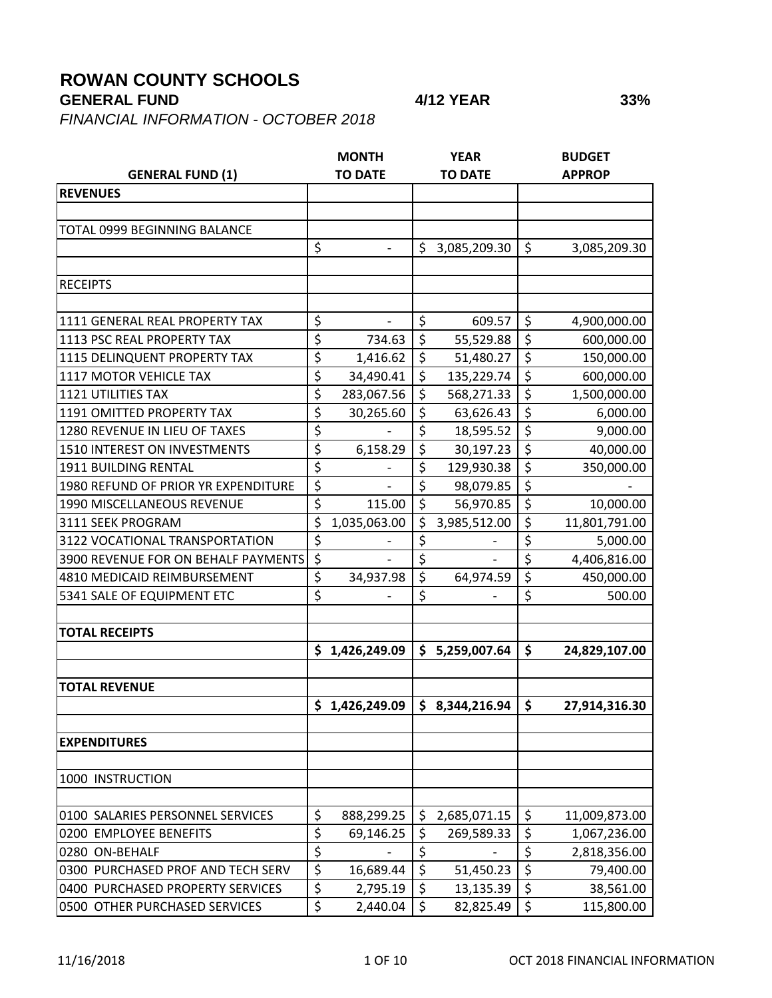## **ROWAN COUNTY SCHOOLS**

## **GENERAL FUND 4/12 YEAR 33%**

*FINANCIAL INFORMATION - OCTOBER 2018*

|                                                                       |                  | <b>MONTH</b>             |                                 | <b>YEAR</b>                |                  | <b>BUDGET</b>           |
|-----------------------------------------------------------------------|------------------|--------------------------|---------------------------------|----------------------------|------------------|-------------------------|
| <b>GENERAL FUND (1)</b>                                               |                  | <b>TO DATE</b>           |                                 | <b>TO DATE</b>             |                  | <b>APPROP</b>           |
| <b>REVENUES</b>                                                       |                  |                          |                                 |                            |                  |                         |
|                                                                       |                  |                          |                                 |                            |                  |                         |
| TOTAL 0999 BEGINNING BALANCE                                          |                  |                          |                                 |                            |                  |                         |
|                                                                       | \$               |                          | \$                              | 3,085,209.30               | \$               | 3,085,209.30            |
|                                                                       |                  |                          |                                 |                            |                  |                         |
| <b>RECEIPTS</b>                                                       |                  |                          |                                 |                            |                  |                         |
|                                                                       |                  |                          |                                 |                            |                  |                         |
| 1111 GENERAL REAL PROPERTY TAX                                        | \$               | $\overline{\phantom{a}}$ | \$                              | 609.57                     | \$               | 4,900,000.00            |
| 1113 PSC REAL PROPERTY TAX                                            | \$               | 734.63                   | \$                              | 55,529.88                  | \$               | 600,000.00              |
| 1115 DELINQUENT PROPERTY TAX                                          | \$               | 1,416.62                 | \$                              | 51,480.27                  | \$               | 150,000.00              |
| 1117 MOTOR VEHICLE TAX                                                | \$               | 34,490.41                | $\overline{\xi}$                | 135,229.74                 | \$               | 600,000.00              |
| <b>1121 UTILITIES TAX</b>                                             | \$               | 283,067.56               | $\overline{\xi}$                | 568,271.33                 | \$               | 1,500,000.00            |
| 1191 OMITTED PROPERTY TAX                                             | \$               | 30,265.60                | \$                              | 63,626.43                  | \$               | 6,000.00                |
| 1280 REVENUE IN LIEU OF TAXES                                         | \$               |                          | $\overline{\boldsymbol{\zeta}}$ | 18,595.52                  | \$               | 9,000.00                |
| 1510 INTEREST ON INVESTMENTS                                          | \$               | 6,158.29                 | \$                              | 30,197.23                  | \$               | 40,000.00               |
| 1911 BUILDING RENTAL                                                  | \$               |                          | \$                              | 129,930.38                 | \$               | 350,000.00              |
| 1980 REFUND OF PRIOR YR EXPENDITURE                                   | $\overline{\xi}$ |                          | \$                              | 98,079.85                  | \$               |                         |
| 1990 MISCELLANEOUS REVENUE                                            | \$               | 115.00                   | \$                              | 56,970.85                  | \$               | 10,000.00               |
| 3111 SEEK PROGRAM                                                     | \$               | 1,035,063.00             | \$                              | 3,985,512.00               | \$               | 11,801,791.00           |
| 3122 VOCATIONAL TRANSPORTATION                                        | \$               |                          | \$                              |                            | \$               | 5,000.00                |
| 3900 REVENUE FOR ON BEHALF PAYMENTS                                   | \$               |                          | \$                              |                            | \$               | 4,406,816.00            |
| 4810 MEDICAID REIMBURSEMENT                                           | \$               | 34,937.98                | \$                              | 64,974.59                  | \$               | 450,000.00              |
| 5341 SALE OF EQUIPMENT ETC                                            | $\overline{\xi}$ |                          | \$                              |                            | \$               | 500.00                  |
|                                                                       |                  |                          |                                 |                            |                  |                         |
| <b>TOTAL RECEIPTS</b>                                                 |                  |                          |                                 |                            |                  |                         |
|                                                                       |                  | \$1,426,249.09           |                                 | \$5,259,007.64             | \$               | 24,829,107.00           |
|                                                                       |                  |                          |                                 |                            |                  |                         |
| <b>TOTAL REVENUE</b>                                                  |                  |                          |                                 |                            |                  |                         |
|                                                                       |                  | \$1,426,249.09           |                                 | \$3,344,216.94             | \$               | 27,914,316.30           |
| <b>EXPENDITURES</b>                                                   |                  |                          |                                 |                            |                  |                         |
|                                                                       |                  |                          |                                 |                            |                  |                         |
| 1000 INSTRUCTION                                                      |                  |                          |                                 |                            |                  |                         |
|                                                                       |                  |                          |                                 |                            |                  |                         |
| 0100 SALARIES PERSONNEL SERVICES                                      | \$<br>\$         | 888,299.25               | \$<br>\$                        | 2,685,071.15<br>269,589.33 | \$<br>\$         | 11,009,873.00           |
| 0200 EMPLOYEE BENEFITS                                                | $\overline{\xi}$ | 69,146.25                | \$                              |                            | \$               | 1,067,236.00            |
| 0280 ON-BEHALF                                                        | $\overline{\xi}$ |                          | $\overline{\xi}$                |                            | $\overline{\xi}$ | 2,818,356.00            |
| 0300 PURCHASED PROF AND TECH SERV<br>0400 PURCHASED PROPERTY SERVICES | \$               | 16,689.44                | \$                              | 51,450.23                  | \$               | 79,400.00               |
| 0500 OTHER PURCHASED SERVICES                                         | \$               | 2,795.19<br>2,440.04     | \$                              | 13,135.39                  | \$               | 38,561.00<br>115,800.00 |
|                                                                       |                  |                          |                                 | 82,825.49                  |                  |                         |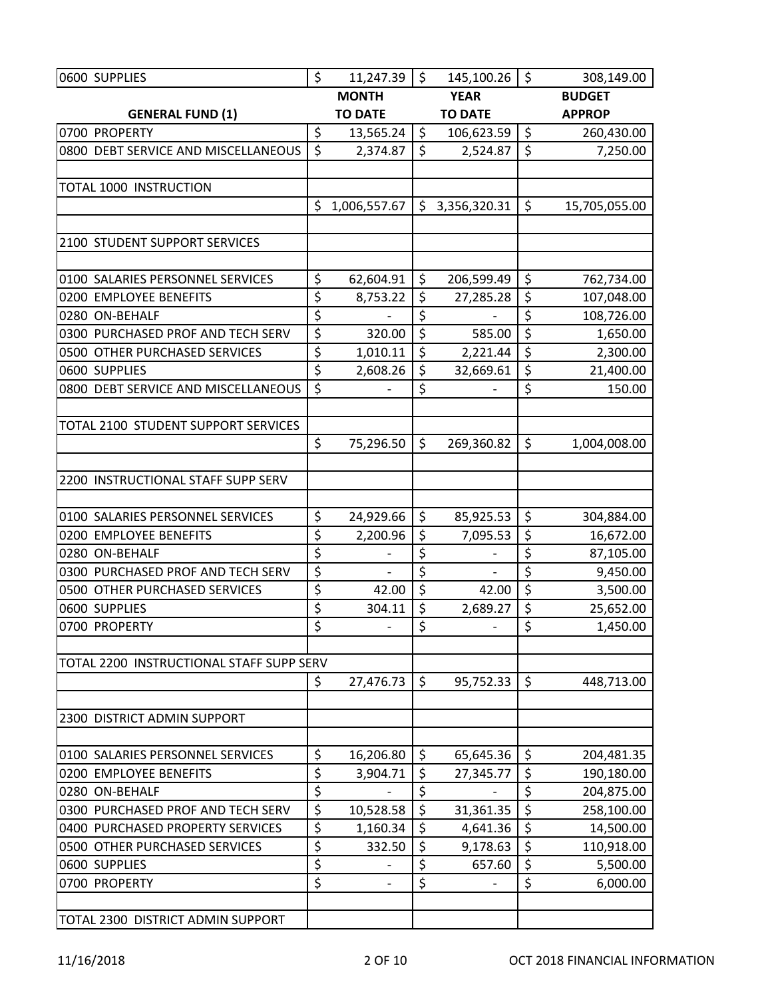| 0600 SUPPLIES                                  | \$               | 11,247.39                          | $\zeta$                 | 145,100.26                           | $\zeta$                 | 308,149.00            |
|------------------------------------------------|------------------|------------------------------------|-------------------------|--------------------------------------|-------------------------|-----------------------|
|                                                |                  | <b>MONTH</b>                       |                         | <b>YEAR</b>                          |                         | <b>BUDGET</b>         |
| <b>GENERAL FUND (1)</b>                        |                  | <b>TO DATE</b>                     |                         | <b>TO DATE</b>                       |                         | <b>APPROP</b>         |
| 0700 PROPERTY                                  | \$               | 13,565.24                          | \$                      | 106,623.59                           | $\zeta$                 | 260,430.00            |
| 0800 DEBT SERVICE AND MISCELLANEOUS            | $\zeta$          | 2,374.87                           | $\overline{\mathsf{S}}$ | 2,524.87                             | $\overline{\mathsf{S}}$ | 7,250.00              |
|                                                |                  |                                    |                         |                                      |                         |                       |
| <b>TOTAL 1000 INSTRUCTION</b>                  |                  |                                    |                         |                                      |                         |                       |
|                                                | \$               | 1,006,557.67                       | \$                      | 3,356,320.31                         | \$                      | 15,705,055.00         |
|                                                |                  |                                    |                         |                                      |                         |                       |
| 2100 STUDENT SUPPORT SERVICES                  |                  |                                    |                         |                                      |                         |                       |
|                                                |                  |                                    |                         |                                      |                         |                       |
| 0100 SALARIES PERSONNEL SERVICES               | \$               | 62,604.91                          | \$                      | 206,599.49                           | \$                      | 762,734.00            |
| 0200 EMPLOYEE BENEFITS                         | \$               | 8,753.22                           | \$                      | 27,285.28                            | \$                      | 107,048.00            |
| 0280 ON-BEHALF                                 | \$               |                                    | \$                      |                                      | \$                      | 108,726.00            |
| 0300 PURCHASED PROF AND TECH SERV              | $\overline{\xi}$ | 320.00                             | $\overline{\xi}$        | 585.00                               | \$                      | 1,650.00              |
| 0500 OTHER PURCHASED SERVICES                  | \$               | 1,010.11                           | \$                      | 2,221.44                             | $\overline{\xi}$        | 2,300.00              |
| 0600 SUPPLIES                                  | $\overline{\xi}$ | 2,608.26                           | \$                      | 32,669.61                            | $\overline{\xi}$        | 21,400.00             |
| 0800 DEBT SERVICE AND MISCELLANEOUS            | \$               |                                    | \$                      |                                      | \$                      | 150.00                |
|                                                |                  |                                    |                         |                                      |                         |                       |
| TOTAL 2100 STUDENT SUPPORT SERVICES            |                  |                                    |                         |                                      |                         |                       |
|                                                | \$               | 75,296.50                          | \$                      | 269,360.82                           | \$                      | 1,004,008.00          |
|                                                |                  |                                    |                         |                                      |                         |                       |
| 2200 INSTRUCTIONAL STAFF SUPP SERV             |                  |                                    |                         |                                      |                         |                       |
|                                                |                  |                                    |                         |                                      |                         |                       |
| 0100 SALARIES PERSONNEL SERVICES               | \$               | 24,929.66                          | \$                      | 85,925.53                            | \$                      | 304,884.00            |
| 0200 EMPLOYEE BENEFITS                         | \$<br>\$         | 2,200.96                           | \$<br>\$                | 7,095.53                             | \$<br>\$                | 16,672.00             |
| 0280 ON-BEHALF                                 |                  |                                    | \$                      |                                      | \$                      | 87,105.00             |
| 0300 PURCHASED PROF AND TECH SERV              | \$               | $\overline{\phantom{a}}$           | $\overline{\xi}$        |                                      | $\overline{\xi}$        | 9,450.00              |
| 0500 OTHER PURCHASED SERVICES<br>0600 SUPPLIES | \$<br>\$         | 42.00                              | $\overline{\xi}$        | 42.00                                | $\overline{\xi}$        | 3,500.00              |
| 0700 PROPERTY                                  | \$               | 304.11<br>$\overline{\phantom{0}}$ | \$                      | 2,689.27<br>$\overline{\phantom{0}}$ | \$                      | 25,652.00<br>1,450.00 |
|                                                |                  |                                    |                         |                                      |                         |                       |
| TOTAL 2200 INSTRUCTIONAL STAFF SUPP SERV       |                  |                                    |                         |                                      |                         |                       |
|                                                | \$               | 27,476.73                          | $\zeta$                 | 95,752.33                            | $\zeta$                 | 448,713.00            |
|                                                |                  |                                    |                         |                                      |                         |                       |
| 2300 DISTRICT ADMIN SUPPORT                    |                  |                                    |                         |                                      |                         |                       |
|                                                |                  |                                    |                         |                                      |                         |                       |
| 0100 SALARIES PERSONNEL SERVICES               | \$               | 16,206.80                          | \$                      | 65,645.36                            | \$                      | 204,481.35            |
| 0200 EMPLOYEE BENEFITS                         | \$               | 3,904.71                           | \$                      | 27,345.77                            | \$                      | 190,180.00            |
| 0280 ON-BEHALF                                 | \$               |                                    | $\overline{\xi}$        |                                      | \$                      | 204,875.00            |
| 0300 PURCHASED PROF AND TECH SERV              | $\overline{\xi}$ | 10,528.58                          | $\overline{\xi}$        | 31,361.35                            | $\overline{\xi}$        | 258,100.00            |
| 0400 PURCHASED PROPERTY SERVICES               | \$               | 1,160.34                           | \$                      | 4,641.36                             | \$                      | 14,500.00             |
| 0500 OTHER PURCHASED SERVICES                  | \$               | 332.50                             | \$                      | 9,178.63                             | \$                      | 110,918.00            |
| 0600 SUPPLIES                                  | \$               | $\qquad \qquad \blacksquare$       | \$                      | 657.60                               | \$                      | 5,500.00              |
| 0700 PROPERTY                                  | \$               |                                    | $\overline{\xi}$        |                                      | \$                      | 6,000.00              |
|                                                |                  |                                    |                         |                                      |                         |                       |
| TOTAL 2300 DISTRICT ADMIN SUPPORT              |                  |                                    |                         |                                      |                         |                       |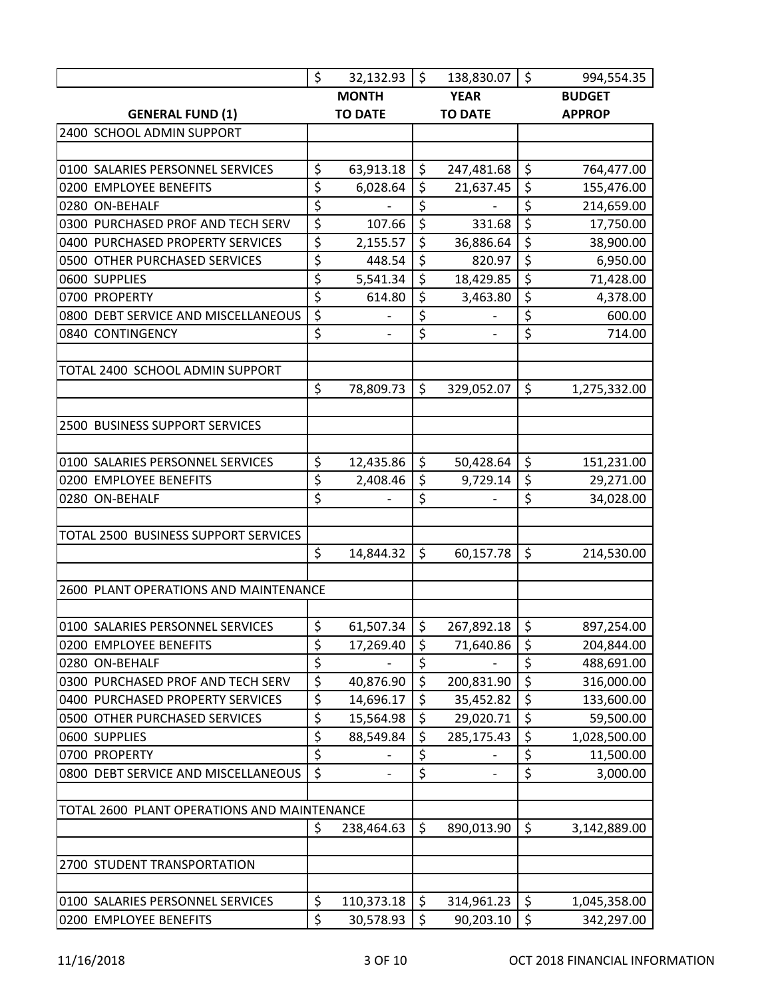|                                             | $\zeta$                         | $32,132.93$ \$           |                  | 138,830.07   \$          |                        | 994,554.35    |
|---------------------------------------------|---------------------------------|--------------------------|------------------|--------------------------|------------------------|---------------|
|                                             |                                 | <b>MONTH</b>             |                  | <b>YEAR</b>              |                        | <b>BUDGET</b> |
| <b>GENERAL FUND (1)</b>                     |                                 | <b>TO DATE</b>           |                  | <b>TO DATE</b>           |                        | <b>APPROP</b> |
| 2400 SCHOOL ADMIN SUPPORT                   |                                 |                          |                  |                          |                        |               |
|                                             |                                 |                          |                  |                          |                        |               |
| 0100 SALARIES PERSONNEL SERVICES            | \$                              | 63,913.18                | $\zeta$          | 247,481.68               | \$                     | 764,477.00    |
| 0200 EMPLOYEE BENEFITS                      | \$                              | 6,028.64                 | \$               | 21,637.45                | \$                     | 155,476.00    |
| 0280 ON-BEHALF                              | $\overline{\varsigma}$          | $\overline{\phantom{0}}$ | \$               | $\overline{\phantom{0}}$ | $\overline{\xi}$       | 214,659.00    |
| 0300 PURCHASED PROF AND TECH SERV           | $\overline{\varsigma}$          | 107.66                   | $\overline{\xi}$ | 331.68                   | $\overline{\xi}$       | 17,750.00     |
| 0400 PURCHASED PROPERTY SERVICES            | \$                              | 2,155.57                 | \$               | 36,886.64                | \$                     | 38,900.00     |
| 0500 OTHER PURCHASED SERVICES               | $\overline{\boldsymbol{\zeta}}$ | 448.54                   | $\overline{\xi}$ | 820.97                   | $\overline{\xi}$       | 6,950.00      |
| 0600 SUPPLIES                               | \$                              | 5,541.34                 | $\overline{\xi}$ | 18,429.85                | $\overline{\xi}$       | 71,428.00     |
| 0700 PROPERTY                               | \$                              | 614.80                   | \$               | 3,463.80                 | \$                     | 4,378.00      |
| 0800 DEBT SERVICE AND MISCELLANEOUS         | $\zeta$                         |                          | $\overline{\xi}$ |                          | $\overline{\xi}$       | 600.00        |
| 0840 CONTINGENCY                            | \$                              | $\overline{\phantom{a}}$ | \$               |                          | \$                     | 714.00        |
|                                             |                                 |                          |                  |                          |                        |               |
| TOTAL 2400 SCHOOL ADMIN SUPPORT             |                                 |                          |                  |                          |                        |               |
|                                             | \$                              | 78,809.73                | $\zeta$          | 329,052.07               | \$                     | 1,275,332.00  |
|                                             |                                 |                          |                  |                          |                        |               |
| 2500 BUSINESS SUPPORT SERVICES              |                                 |                          |                  |                          |                        |               |
|                                             |                                 |                          |                  |                          |                        |               |
| 0100 SALARIES PERSONNEL SERVICES            | \$                              | 12,435.86                | \$               | 50,428.64                | \$                     | 151,231.00    |
| 0200 EMPLOYEE BENEFITS                      | \$                              | 2,408.46                 | \$               | 9,729.14                 | \$                     | 29,271.00     |
| 0280 ON-BEHALF                              | \$                              |                          | \$               |                          | \$                     | 34,028.00     |
|                                             |                                 |                          |                  |                          |                        |               |
| TOTAL 2500 BUSINESS SUPPORT SERVICES        |                                 |                          |                  |                          |                        |               |
|                                             | \$                              | 14,844.32                | $\zeta$          | 60,157.78                | \$                     | 214,530.00    |
|                                             |                                 |                          |                  |                          |                        |               |
| 2600 PLANT OPERATIONS AND MAINTENANCE       |                                 |                          |                  |                          |                        |               |
|                                             |                                 |                          |                  |                          |                        |               |
| 0100 SALARIES PERSONNEL SERVICES            | $\zeta$                         | 61,507.34                | $\zeta$          | 267,892.18               | $\zeta$                | 897,254.00    |
| 0200 EMPLOYEE BENEFITS                      | \$                              | 17,269.40                | \$               | 71,640.86                | \$                     | 204,844.00    |
| 0280 ON-BEHALF                              | \$                              |                          | \$               |                          | $\overline{\xi}$       | 488,691.00    |
| 0300 PURCHASED PROF AND TECH SERV           | \$                              | 40,876.90                | \$               | 200,831.90               | \$                     | 316,000.00    |
| 0400 PURCHASED PROPERTY SERVICES            | \$                              |                          | \$               |                          | \$                     | 133,600.00    |
| 0500 OTHER PURCHASED SERVICES               | \$                              | 14,696.17                | \$               | 35,452.82                | \$                     |               |
|                                             |                                 | 15,564.98                | \$               | 29,020.71                | \$                     | 59,500.00     |
| 0600 SUPPLIES                               | \$                              | 88,549.84                |                  | 285,175.43               |                        | 1,028,500.00  |
| 0700 PROPERTY                               | \$                              |                          | \$               |                          | $\overline{\varsigma}$ | 11,500.00     |
| 0800 DEBT SERVICE AND MISCELLANEOUS         | \$                              | $\qquad \qquad -$        | \$               | $\overline{\phantom{a}}$ | \$                     | 3,000.00      |
|                                             |                                 |                          |                  |                          |                        |               |
| TOTAL 2600 PLANT OPERATIONS AND MAINTENANCE |                                 |                          |                  |                          |                        |               |
|                                             | \$                              | 238,464.63               | \$               | 890,013.90               | \$                     | 3,142,889.00  |
|                                             |                                 |                          |                  |                          |                        |               |
| 2700 STUDENT TRANSPORTATION                 |                                 |                          |                  |                          |                        |               |
|                                             |                                 |                          |                  |                          |                        |               |
| 0100 SALARIES PERSONNEL SERVICES            | \$                              | 110,373.18               | \$               | 314,961.23               | \$                     | 1,045,358.00  |
| 0200 EMPLOYEE BENEFITS                      | \$                              | 30,578.93                | $\zeta$          | 90,203.10                | \$                     | 342,297.00    |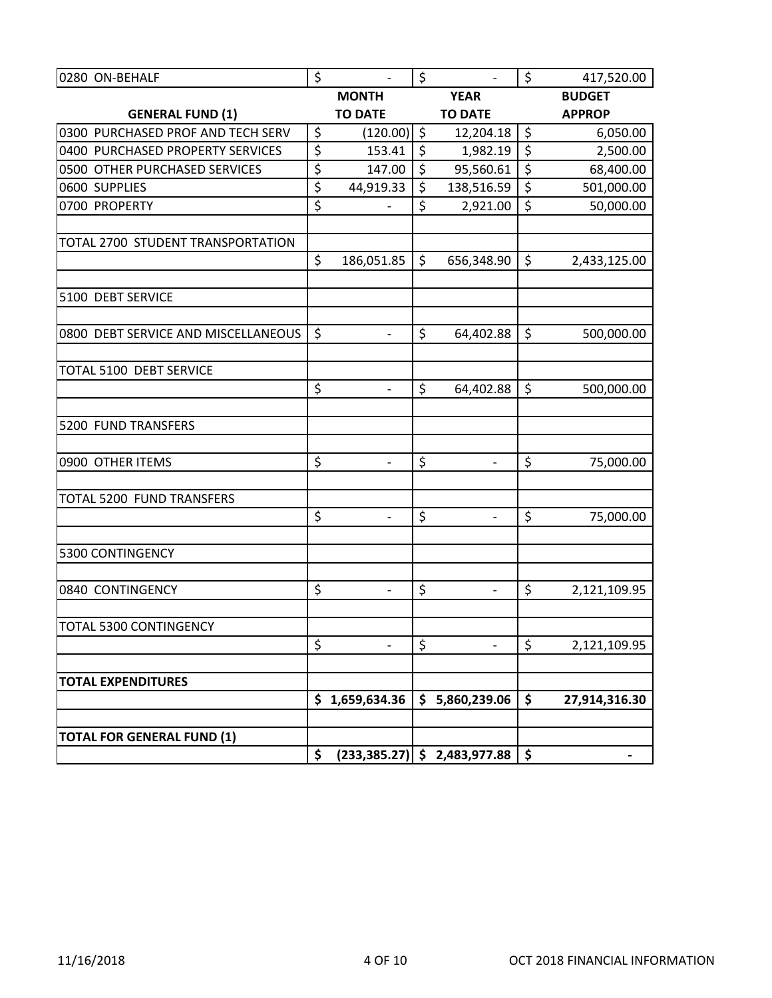| 0280 ON-BEHALF                      | \$               | $\overline{\phantom{a}}$ | \$               | $\overline{\phantom{a}}$       | \$               | 417,520.00    |
|-------------------------------------|------------------|--------------------------|------------------|--------------------------------|------------------|---------------|
|                                     |                  | <b>MONTH</b>             |                  | <b>YEAR</b>                    |                  | <b>BUDGET</b> |
| <b>GENERAL FUND (1)</b>             |                  | <b>TO DATE</b>           |                  | <b>TO DATE</b>                 |                  | <b>APPROP</b> |
| 0300 PURCHASED PROF AND TECH SERV   | \$               | (120.00)                 | \$               | 12,204.18                      | \$               | 6,050.00      |
| 0400 PURCHASED PROPERTY SERVICES    | $\overline{\xi}$ | 153.41                   | $\overline{\xi}$ | 1,982.19                       | $\overline{\xi}$ | 2,500.00      |
| 0500 OTHER PURCHASED SERVICES       | \$               | 147.00                   | \$               | 95,560.61                      | \$               | 68,400.00     |
| 0600 SUPPLIES                       | \$               | 44,919.33                | $\zeta$          | 138,516.59                     | \$               | 501,000.00    |
| 0700 PROPERTY                       | \$               | $\qquad \qquad -$        | \$               | 2,921.00                       | \$               | 50,000.00     |
|                                     |                  |                          |                  |                                |                  |               |
| TOTAL 2700 STUDENT TRANSPORTATION   |                  |                          |                  |                                |                  |               |
|                                     | \$               | 186,051.85               | \$               | 656,348.90                     | \$               | 2,433,125.00  |
|                                     |                  |                          |                  |                                |                  |               |
| 5100 DEBT SERVICE                   |                  |                          |                  |                                |                  |               |
| 0800 DEBT SERVICE AND MISCELLANEOUS | \$               | $\overline{\phantom{0}}$ | \$               | 64,402.88                      | \$               | 500,000.00    |
|                                     |                  |                          |                  |                                |                  |               |
| TOTAL 5100 DEBT SERVICE             |                  |                          |                  |                                |                  |               |
|                                     | \$               | $\overline{\phantom{a}}$ | \$               | 64,402.88                      | \$               | 500,000.00    |
|                                     |                  |                          |                  |                                |                  |               |
| 5200 FUND TRANSFERS                 |                  |                          |                  |                                |                  |               |
| 0900 OTHER ITEMS                    | \$               | $\overline{\phantom{a}}$ | \$               | $\blacksquare$                 | \$               | 75,000.00     |
|                                     |                  |                          |                  |                                |                  |               |
| TOTAL 5200 FUND TRANSFERS           |                  |                          |                  |                                |                  |               |
|                                     | \$               | $\overline{\phantom{a}}$ | \$               | $\overline{\phantom{a}}$       | \$               | 75,000.00     |
|                                     |                  |                          |                  |                                |                  |               |
| 5300 CONTINGENCY                    |                  |                          |                  |                                |                  |               |
|                                     | \$               |                          | \$               |                                | \$               |               |
| 0840 CONTINGENCY                    |                  |                          |                  | $\qquad \qquad \blacksquare$   |                  | 2,121,109.95  |
| <b>TOTAL 5300 CONTINGENCY</b>       |                  |                          |                  |                                |                  |               |
|                                     | \$               | $\overline{\phantom{a}}$ | \$               | $\overline{\phantom{0}}$       | \$               | 2,121,109.95  |
|                                     |                  |                          |                  |                                |                  |               |
| <b>TOTAL EXPENDITURES</b>           |                  |                          |                  |                                |                  |               |
|                                     |                  | \$1,659,634.36           |                  | \$5,860,239.06                 | \$               | 27,914,316.30 |
|                                     |                  |                          |                  |                                |                  |               |
| <b>TOTAL FOR GENERAL FUND (1)</b>   |                  |                          |                  |                                |                  |               |
|                                     | \$               |                          |                  | $(233,385.27)$ \$ 2,483,977.88 | \$               |               |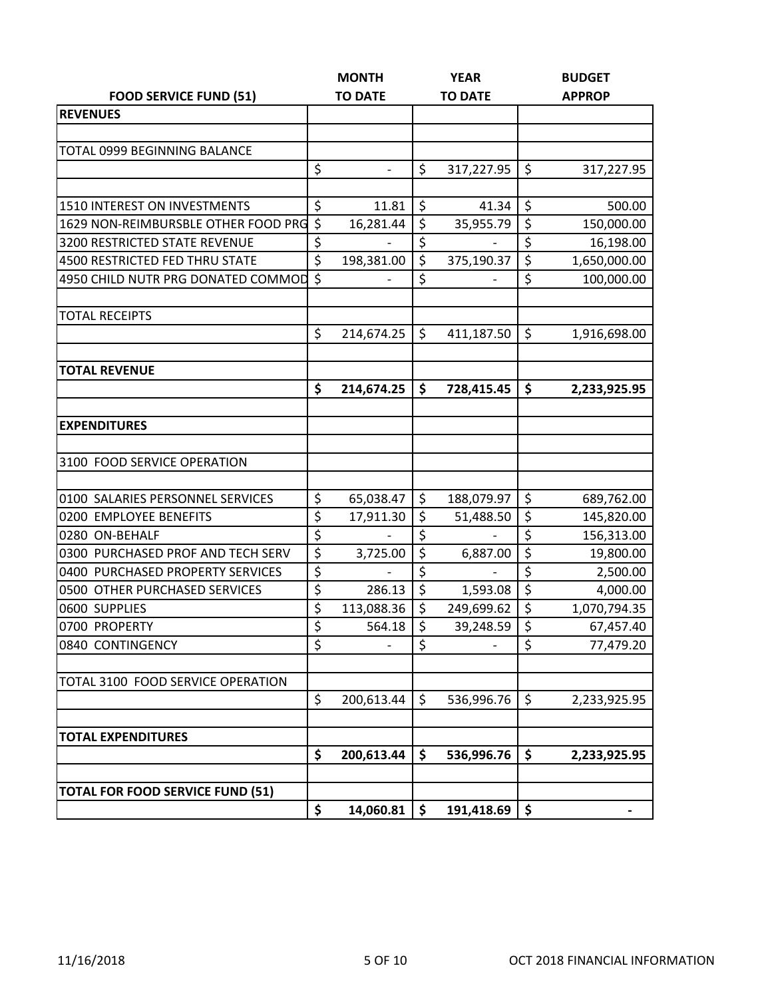|                                         | <b>MONTH</b>                   | <b>YEAR</b>      |                              | <b>BUDGET</b>    |               |  |
|-----------------------------------------|--------------------------------|------------------|------------------------------|------------------|---------------|--|
| <b>FOOD SERVICE FUND (51)</b>           | <b>TO DATE</b>                 |                  | <b>TO DATE</b>               |                  | <b>APPROP</b> |  |
| <b>REVENUES</b>                         |                                |                  |                              |                  |               |  |
|                                         |                                |                  |                              |                  |               |  |
| TOTAL 0999 BEGINNING BALANCE            |                                |                  |                              |                  |               |  |
|                                         | \$<br>$\overline{\phantom{0}}$ | \$               | 317,227.95                   | \$               | 317,227.95    |  |
|                                         |                                |                  |                              |                  |               |  |
| 1510 INTEREST ON INVESTMENTS            | \$<br>11.81                    | \$               | 41.34                        | \$               | 500.00        |  |
| 1629 NON-REIMBURSBLE OTHER FOOD PRG \$  | 16,281.44                      | \$               | 35,955.79                    | \$               | 150,000.00    |  |
| 3200 RESTRICTED STATE REVENUE           | \$<br>$\qquad \qquad -$        | \$               | $\qquad \qquad \blacksquare$ | \$               | 16,198.00     |  |
| <b>4500 RESTRICTED FED THRU STATE</b>   | \$<br>198,381.00               | $\overline{\xi}$ | 375,190.37                   | $\overline{\xi}$ | 1,650,000.00  |  |
| 4950 CHILD NUTR PRG DONATED COMMOD      | \$                             | \$               |                              | \$               | 100,000.00    |  |
| <b>TOTAL RECEIPTS</b>                   |                                |                  |                              |                  |               |  |
|                                         | \$<br>214,674.25               | \$               | 411,187.50                   | \$               | 1,916,698.00  |  |
|                                         |                                |                  |                              |                  |               |  |
| <b>TOTAL REVENUE</b>                    |                                |                  |                              |                  |               |  |
|                                         | \$<br>214,674.25               | \$               | 728,415.45                   | \$               | 2,233,925.95  |  |
| <b>EXPENDITURES</b>                     |                                |                  |                              |                  |               |  |
|                                         |                                |                  |                              |                  |               |  |
| 3100 FOOD SERVICE OPERATION             |                                |                  |                              |                  |               |  |
|                                         |                                |                  |                              |                  |               |  |
| 0100 SALARIES PERSONNEL SERVICES        | \$<br>65,038.47                | \$               | 188,079.97                   | \$               | 689,762.00    |  |
| 0200 EMPLOYEE BENEFITS                  | \$<br>17,911.30                | \$               | 51,488.50                    | \$               | 145,820.00    |  |
| 0280 ON-BEHALF                          | \$                             | \$               |                              | $\overline{\xi}$ | 156,313.00    |  |
| 0300 PURCHASED PROF AND TECH SERV       | \$<br>3,725.00                 | \$               | 6,887.00                     | \$               | 19,800.00     |  |
| 0400 PURCHASED PROPERTY SERVICES        | \$                             | \$               |                              | $\overline{\xi}$ | 2,500.00      |  |
| 0500 OTHER PURCHASED SERVICES           | \$<br>286.13                   | \$               | 1,593.08                     | $\overline{\xi}$ | 4,000.00      |  |
| 0600 SUPPLIES                           | \$<br>113,088.36               | \$               | 249,699.62                   | \$               | 1,070,794.35  |  |
| 0700 PROPERTY                           | \$<br>564.18                   | \$               | 39,248.59                    | \$               | 67,457.40     |  |
| 0840 CONTINGENCY                        | \$                             | \$               |                              | \$               | 77,479.20     |  |
|                                         |                                |                  |                              |                  |               |  |
| TOTAL 3100 FOOD SERVICE OPERATION       |                                |                  |                              |                  |               |  |
|                                         | \$<br>200,613.44               | \$               | 536,996.76                   | \$               | 2,233,925.95  |  |
| <b>TOTAL EXPENDITURES</b>               |                                |                  |                              |                  |               |  |
|                                         | \$<br>200,613.44               | \$               | 536,996.76                   | \$               | 2,233,925.95  |  |
|                                         |                                |                  |                              |                  |               |  |
| <b>TOTAL FOR FOOD SERVICE FUND (51)</b> |                                |                  |                              |                  |               |  |
|                                         | \$<br>14,060.81                | \$               | 191,418.69                   | \$               |               |  |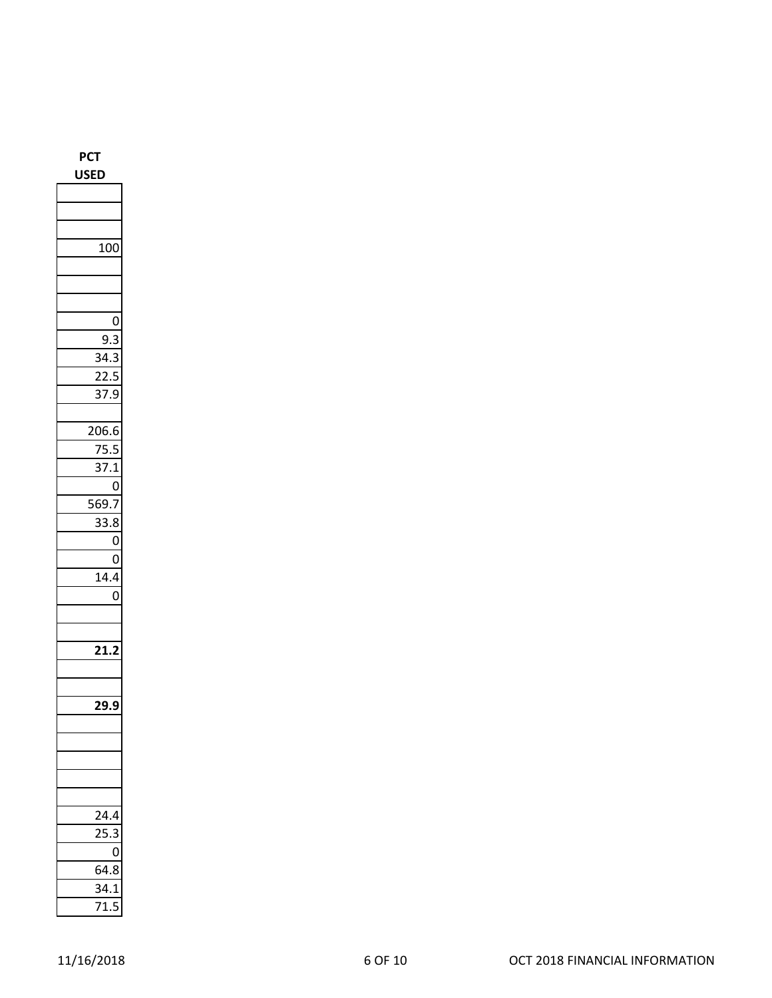**PCT USED** 100 0 9.3 34.3 22.5 37.9 206.6 75.5 37.1  $\overline{0}$ 569.7 33.8  $\overline{0}$  $\overline{0}$ 14.4  $\overline{0}$ **21.2 29.9** 24.4 25.3  $\overline{0}$ 64.8 34.1 71.5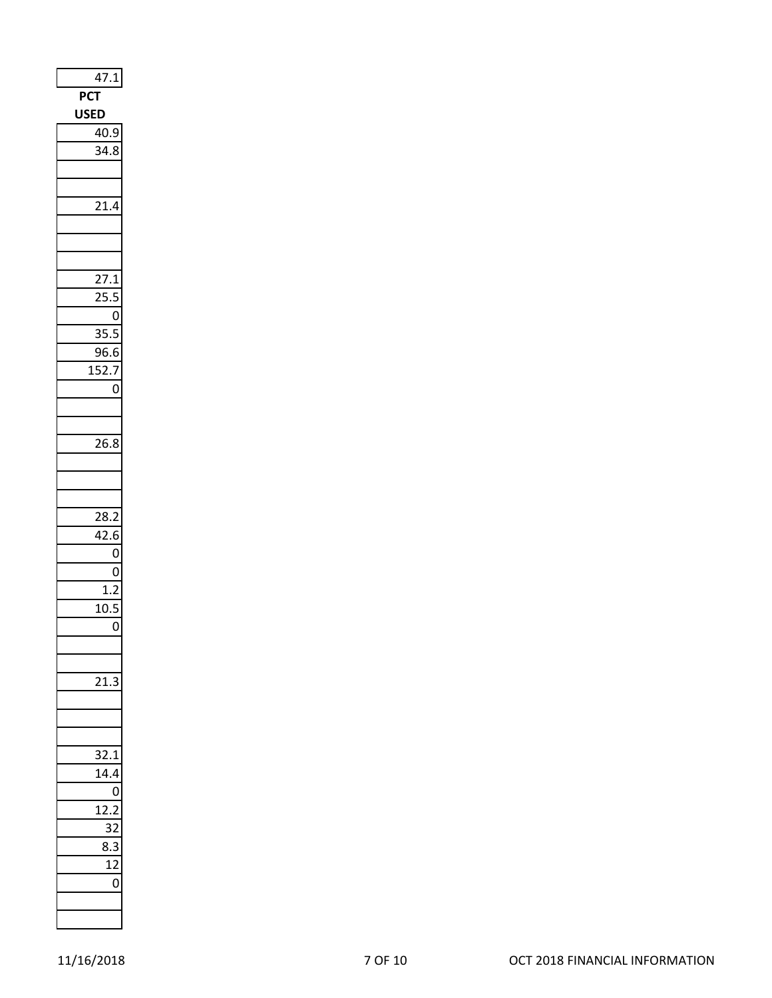| 47.1                                 |
|--------------------------------------|
| PC <sup>-</sup>                      |
| <b>USE</b><br>D                      |
| 40.9                                 |
| 34.8                                 |
|                                      |
|                                      |
| $\overline{21.4}$                    |
|                                      |
|                                      |
|                                      |
| 27<br>$\cdot$ 1                      |
| $\cdot$<br>25                        |
| ſ                                    |
| $\ddot{\cdot}$<br>}!<br>ŗ            |
| $\overline{\mathbf{c}}$<br>96<br>5.6 |
| 152.7                                |
| 0                                    |
|                                      |
| 26.8                                 |
|                                      |
|                                      |
|                                      |
| 28.2                                 |
| 42.6                                 |
| $\overline{0}$                       |
| 0                                    |
| 1.2                                  |
| 10.5                                 |
| 0                                    |
|                                      |
|                                      |
| ξ                                    |
|                                      |
|                                      |
|                                      |
| š.<br>$^{2.1}$                       |
| 1                                    |
|                                      |
| $\overline{1}$                       |
|                                      |
| ٤<br>រ                               |
| 1<br>ſ                               |
| ١                                    |
|                                      |
|                                      |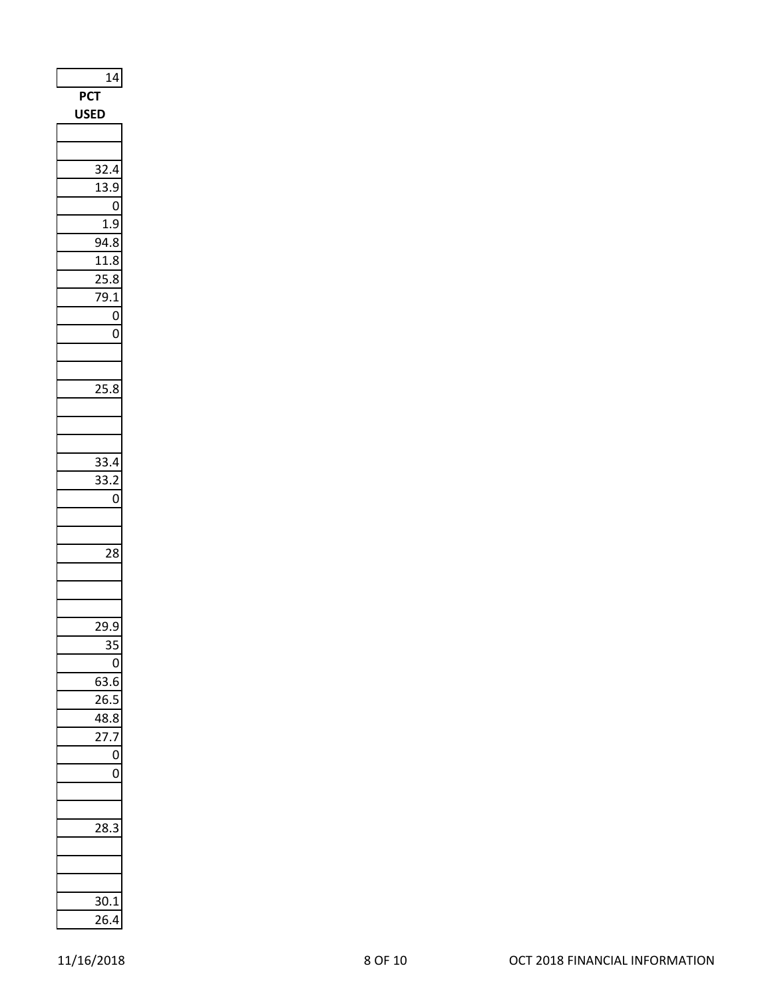| 14                 |
|--------------------|
| <b>PCT</b>         |
| SEI<br>u<br>D      |
|                    |
|                    |
| 32<br>4            |
| 13<br>$\cdot$<br>J |
| 0                  |
| 1.9                |
| 94.8               |
| 11.8               |
| 25.8               |
| 9.1<br>7           |
| 0                  |
| O                  |
|                    |
|                    |
| 25.8               |
|                    |
|                    |
|                    |
| 33.4               |
| 33.2               |
| $\overline{0}$     |
|                    |
|                    |
| 28                 |
|                    |
|                    |
|                    |
| _<br>29.9          |
| 35                 |
| $\overline{0}$     |
| 63.6               |
| 26.5               |
| 48.8               |
| 27.7               |
| 0                  |
| 0                  |
|                    |
|                    |
| 28.<br>3           |
|                    |
|                    |
|                    |
| 30.1               |
| 26.4               |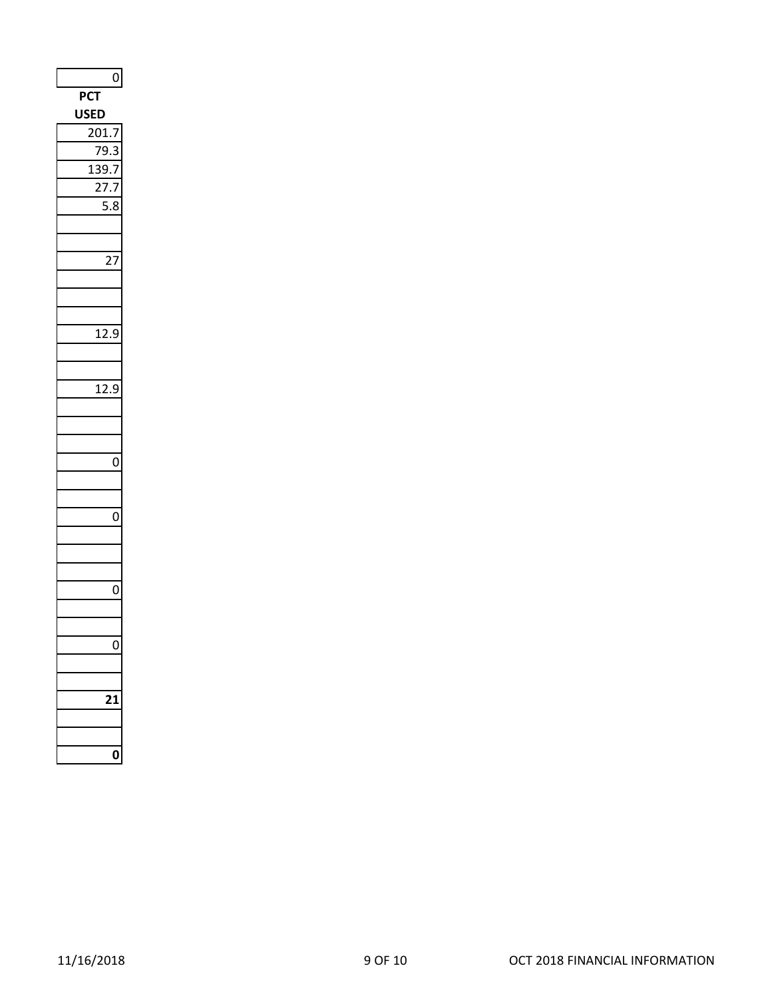| C.<br>P۱<br>I<br>ບເ<br>)<br>20<br>١.<br>֧֛֓֜֜֜֜<br>$\mathbf{1}$<br>l<br>,<br>12<br>$\cdot$<br>)<br>12<br>2.<br>$\epsilon$<br>)<br>0<br>0<br>0<br>l<br>ſ | $\mathbf{0}$ |
|---------------------------------------------------------------------------------------------------------------------------------------------------------|--------------|
|                                                                                                                                                         |              |
|                                                                                                                                                         |              |
|                                                                                                                                                         |              |
|                                                                                                                                                         |              |
|                                                                                                                                                         |              |
|                                                                                                                                                         |              |
|                                                                                                                                                         |              |
|                                                                                                                                                         |              |
|                                                                                                                                                         |              |
|                                                                                                                                                         |              |
|                                                                                                                                                         |              |
|                                                                                                                                                         |              |
|                                                                                                                                                         |              |
|                                                                                                                                                         |              |
|                                                                                                                                                         |              |
|                                                                                                                                                         |              |
|                                                                                                                                                         |              |
|                                                                                                                                                         |              |
|                                                                                                                                                         |              |
|                                                                                                                                                         |              |
|                                                                                                                                                         |              |
|                                                                                                                                                         |              |
|                                                                                                                                                         |              |
|                                                                                                                                                         |              |
|                                                                                                                                                         |              |
|                                                                                                                                                         |              |
|                                                                                                                                                         |              |
|                                                                                                                                                         |              |
|                                                                                                                                                         |              |
|                                                                                                                                                         |              |
|                                                                                                                                                         |              |
|                                                                                                                                                         |              |
|                                                                                                                                                         |              |
|                                                                                                                                                         |              |
|                                                                                                                                                         |              |
|                                                                                                                                                         |              |
|                                                                                                                                                         |              |